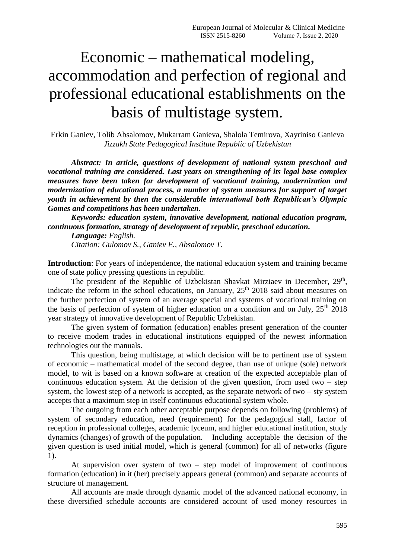## Economic – mathematical modeling, accommodation and perfection of regional and professional educational establishments on the basis of multistage system.

Erkin Ganiev, Tolib Absalomov, Mukarram Ganieva, Shalola Temirova, Xayriniso Ganieva *[Jizzakh State Pedagogical Institute R](https://www.4icu.org/reviews/universities-english/11942.html)epublic of Uzbekistan*

*Abstract: In article, questions of development of national system preschool and vocational training are considered. Last years on strengthening of its legal base complex measures have been taken for development of vocational training, modernization and modernization of educational process, a number of system measures for support of target youth in achievement by then the considerable international both Republican's Olympic Gomes and competitions has been undertaken.*

*Keywords: education system, innovative development, national education program, continuous formation, strategy of development of republic, preschool education.*

*Language: English. Citation: Gulomov S., Ganiev E., Absalomov T.*

**Introduction**: For years of independence, the national education system and training became one of state policy pressing questions in republic.

The president of the Republic of Uzbekistan Shavkat Mirziaev in December, 29<sup>th</sup>, indicate the reform in the school educations, on January, 25<sup>th</sup> 2018 said about measures on the further perfection of system of an average special and systems of vocational training on the basis of perfection of system of higher education on a condition and on July,  $25<sup>th</sup> 2018$ year strategy of innovative development of Republic Uzbekistan.

The given system of formation (education) enables present generation of the counter to receive modem trades in educational institutions equipped of the newest information technologies out the manuals.

This question, being multistage, at which decision will be to pertinent use of system of economic – mathematical model of the second degree, than use of unique (sole) network model, to wit is based on a known software at creation of the expected acceptable plan of continuous education system. At the decision of the given question, from used two  $-$  step system, the lowest step of a network is accepted, as the separate network of two – sty system accepts that a maximum step in itself continuous educational system whole.

The outgoing from each other acceptable purpose depends on following (problems) of system of secondary education, need (requirement) for the pedagogical stall, factor of reception in professional colleges, academic lyceum, and higher educational institution, study dynamics (changes) of growth of the population. Including acceptable the decision of the given question is used initial model, which is general (common) for all of networks (figure 1).

At supervision over system of two – step model of improvement of continuous formation (education) in it (her) precisely appears general (common) and separate accounts of structure of management.

All accounts are made through dynamic model of the advanced national economy, in these diversified schedule accounts are considered account of used money resources in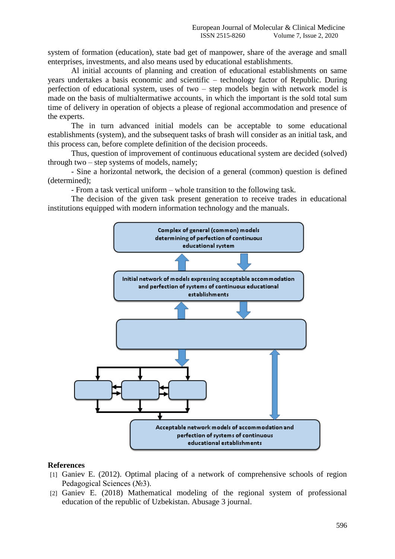system of formation (education), state bad get of manpower, share of the average and small enterprises, investments, and also means used by educational establishments.

Al initial accounts of planning and creation of educational establishments on same years undertakes a basis economic and scientific – technology factor of Republic. During perfection of educational system, uses of two – step models begin with network model is made on the basis of multialtermatiwe accounts, in which the important is the sold total sum time of delivery in operation of objects a please of regional accommodation and presence of the experts.

The in turn advanced initial models can be acceptable to some educational establishments (system), and the subsequent tasks of brash will consider as an initial task, and this process can, before complete definition of the decision proceeds.

Thus, question of improvement of continuous educational system are decided (solved) through two – step systems of models, namely;

- Sine a horizontal network, the decision of a general (common) question is defined (determined);

- From a task vertical uniform – whole transition to the following task.

The decision of the given task present generation to receive trades in educational institutions equipped with modern information technology and the manuals.



## **References**

- [1] Ganiev E. (2012). Optimal placing of a network of comprehensive schools of region Pedagogical Sciences (№3).
- [2] Ganiev E. (2018) Mathematical modeling of the regional system of professional education of the republic of Uzbekistan. Abusage 3 journal.